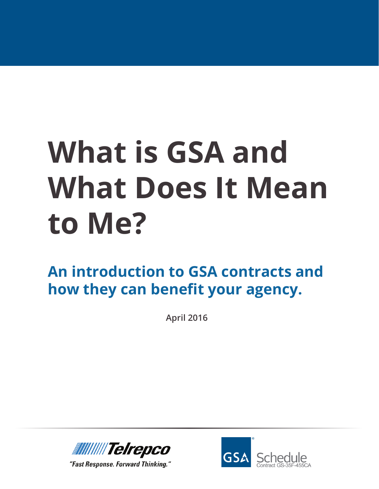**An introduction to GSA contracts and how they can benefit your agency.**

**April 2016**



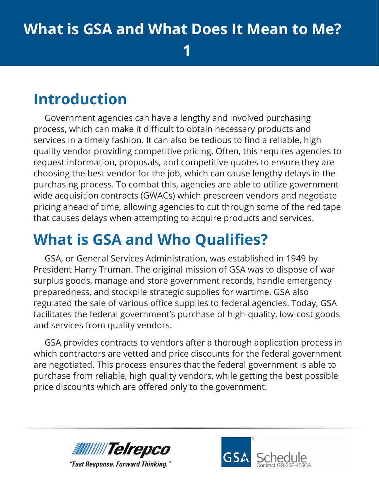#### **1**

### **Introduction**

Government agencies can have a lengthy and involved purchasing process, which can make it difficult to obtain necessary products and services in a timely fashion. It can also be tedious to find a reliable, high quality vendor providing competitive pricing. Often, this requires agencies to request information, proposals, and competitive quotes to ensure they are choosing the best vendor for the job, which can cause lengthy delays in the purchasing process. To combat this, agencies are able to utilize government wide acquisition contracts (GWACs) which prescreen vendors and negotiate pricing ahead of time, allowing agencies to cut through some of the red tape that causes delays when attempting to acquire products and services.

## **What is GSA and Who Qualifies?**

GSA, or General Services Administration, was established in 1949 by President Harry Truman. The original mission of GSA was to dispose of war surplus goods, manage and store government records, handle emergency preparedness, and stockpile strategic supplies for wartime. GSA also regulated the sale of various office supplies to federal agencies. Today, GSA facilitates the federal government's purchase of high-quality, low-cost goods and services from quality vendors.

GSA provides contracts to vendors after a thorough application process in which contractors are vetted and price discounts for the federal government are negotiated. This process ensures that the federal government is able to purchase from reliable, high quality vendors, while getting the best possible price discounts which are offered only to the government.



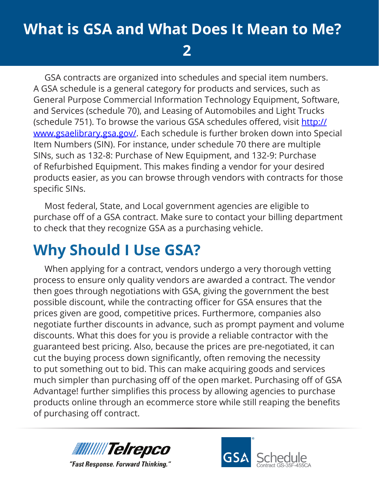**2**

GSA contracts are organized into schedules and special item numbers. A GSA schedule is a general category for products and services, such as General Purpose Commercial Information Technology Equipment, Software, and Services (schedule 70), and Leasing of Automobiles and Light Trucks (schedule 751). To browse the various GSA schedules offered, visit [http://](http://www.gsaelibrary.gsa.gov/ElibMain/home.do) [www.gsaelibrary.gsa.gov/](http://www.gsaelibrary.gsa.gov/ElibMain/home.do). Each schedule is further broken down into Special Item Numbers (SIN). For instance, under schedule 70 there are multiple SINs, such as 132-8: Purchase of New Equipment, and 132-9: Purchase of Refurbished Equipment. This makes finding a vendor for your desired products easier, as you can browse through vendors with contracts for those specific SINs.

Most federal, State, and Local government agencies are eligible to purchase off of a GSA contract. Make sure to contact your billing department to check that they recognize GSA as a purchasing vehicle.

## **Why Should I Use GSA?**

When applying for a contract, vendors undergo a very thorough vetting process to ensure only quality vendors are awarded a contract. The vendor then goes through negotiations with GSA, giving the government the best possible discount, while the contracting officer for GSA ensures that the prices given are good, competitive prices. Furthermore, companies also negotiate further discounts in advance, such as prompt payment and volume discounts. What this does for you is provide a reliable contractor with the guaranteed best pricing. Also, because the prices are pre-negotiated, it can cut the buying process down significantly, often removing the necessity to put something out to bid. This can make acquiring goods and services much simpler than purchasing off of the open market. Purchasing off of GSA Advantage! further simplifies this process by allowing agencies to purchase products online through an ecommerce store while still reaping the benefits of purchasing off contract.



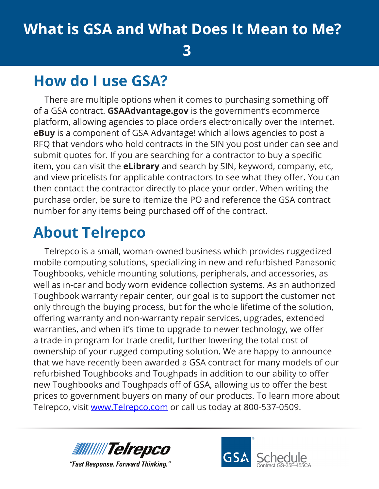**3**

### **How do I use GSA?**

There are multiple options when it comes to purchasing something off of a GSA contract. **GSAAdvantage.gov** is the government's ecommerce platform, allowing agencies to place orders electronically over the internet. **eBuy** is a component of GSA Advantage! which allows agencies to post a RFQ that vendors who hold contracts in the SIN you post under can see and submit quotes for. If you are searching for a contractor to buy a specific item, you can visit the **eLibrary** and search by SIN, keyword, company, etc, and view pricelists for applicable contractors to see what they offer. You can then contact the contractor directly to place your order. When writing the purchase order, be sure to itemize the PO and reference the GSA contract number for any items being purchased off of the contract.

### **About Telrepco**

Telrepco is a small, woman-owned business which provides ruggedized mobile computing solutions, specializing in new and refurbished Panasonic Toughbooks, vehicle mounting solutions, peripherals, and accessories, as well as in-car and body worn evidence collection systems. As an authorized Toughbook warranty repair center, our goal is to support the customer not only through the buying process, but for the whole lifetime of the solution, offering warranty and non-warranty repair services, upgrades, extended warranties, and when it's time to upgrade to newer technology, we offer a trade-in program for trade credit, further lowering the total cost of ownership of your rugged computing solution. We are happy to announce that we have recently been awarded a GSA contract for many models of our refurbished Toughbooks and Toughpads in addition to our ability to offer new Toughbooks and Toughpads off of GSA, allowing us to offer the best prices to government buyers on many of our products. To learn more about Telrepco, visit [www.Telrepco.com](http://www.Telrepco.com) or call us today at 800-537-0509.